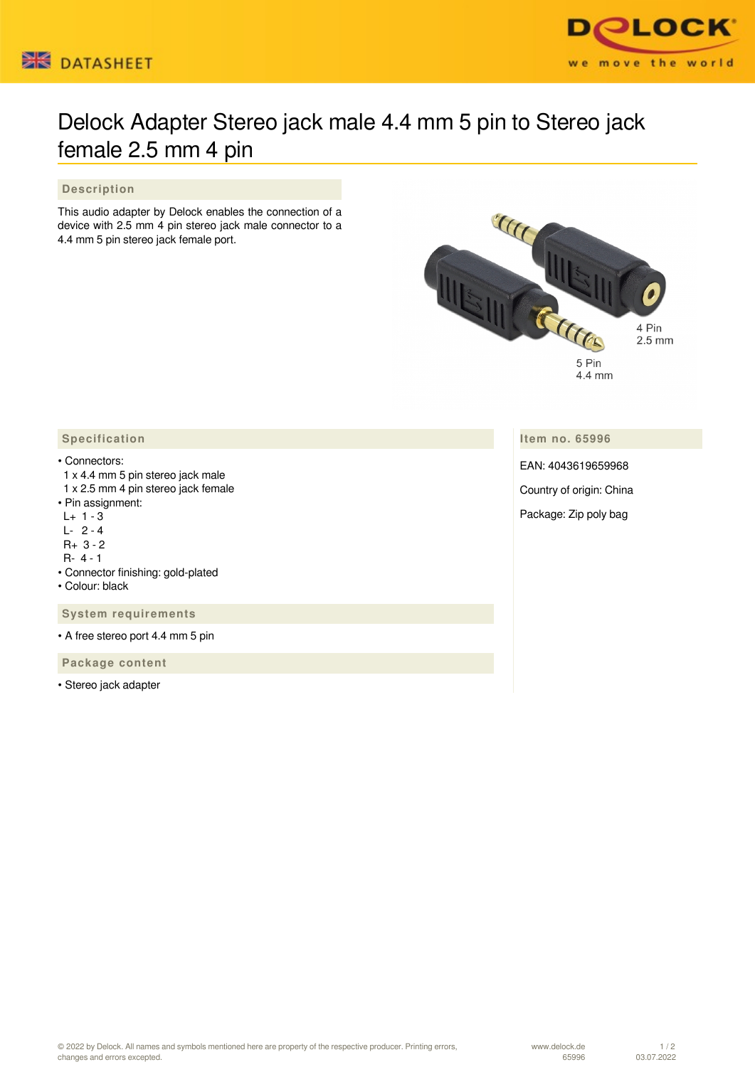



## Delock Adapter Stereo jack male 4.4 mm 5 pin to Stereo jack female 2.5 mm 4 pin

## **Description**

This audio adapter by Delock enables the connection of a device with 2.5 mm 4 pin stereo jack male connector to a 4.4 mm 5 pin stereo jack female port.



**Item no. 65996**

EAN: 4043619659968

Country of origin: China

Package: Zip poly bag

## **Specification**

## • Connectors:

- 1 x 4.4 mm 5 pin stereo jack male 1 x 2.5 mm 4 pin stereo jack female
- Pin assignment:
- $L+ 1 3$
- L- 2 4
- R+ 3 2
- R- 4 1
- Connector finishing: gold-plated
- Colour: black

 **System requirements**

• A free stereo port 4.4 mm 5 pin

 **Package content**

• Stereo jack adapter